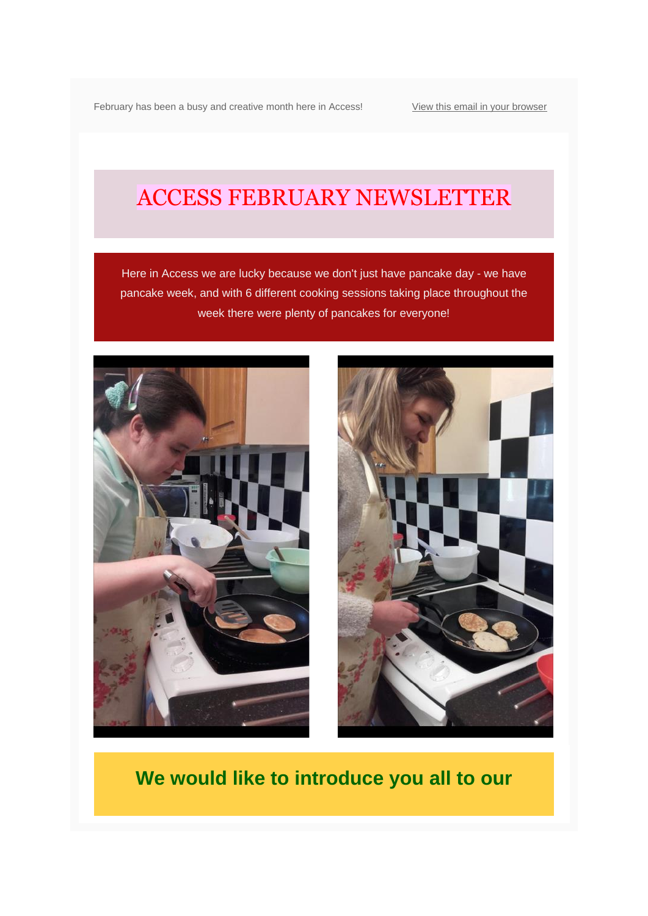February has been a busy and creative month here in Access! [View this email in your browser](https://us13.campaign-archive.com/?e=%5bUNIQID%5d&u=f08d9ae3e4436254afcfad645&id=ceb865a5c4)

## ACCESS FEBRUARY NEWSLETTER

Here in Access we are lucky because we don't just have pancake day - we have pancake week, and with 6 different cooking sessions taking place throughout the week there were plenty of pancakes for everyone!





## **We would like to introduce you all to our**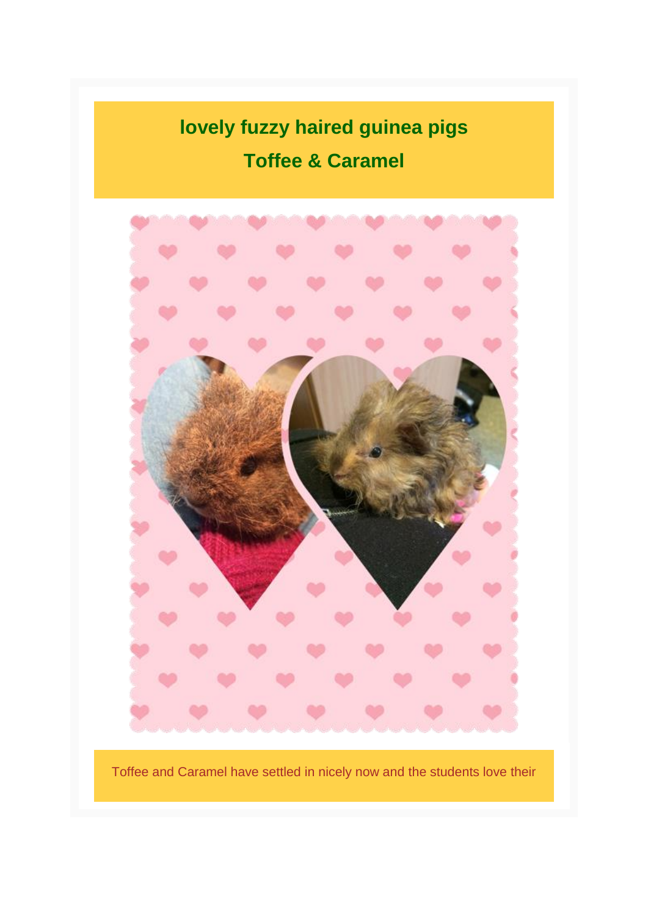## **lovely fuzzy haired guinea pigs Toffee & Caramel**



Toffee and Caramel have settled in nicely now and the students love their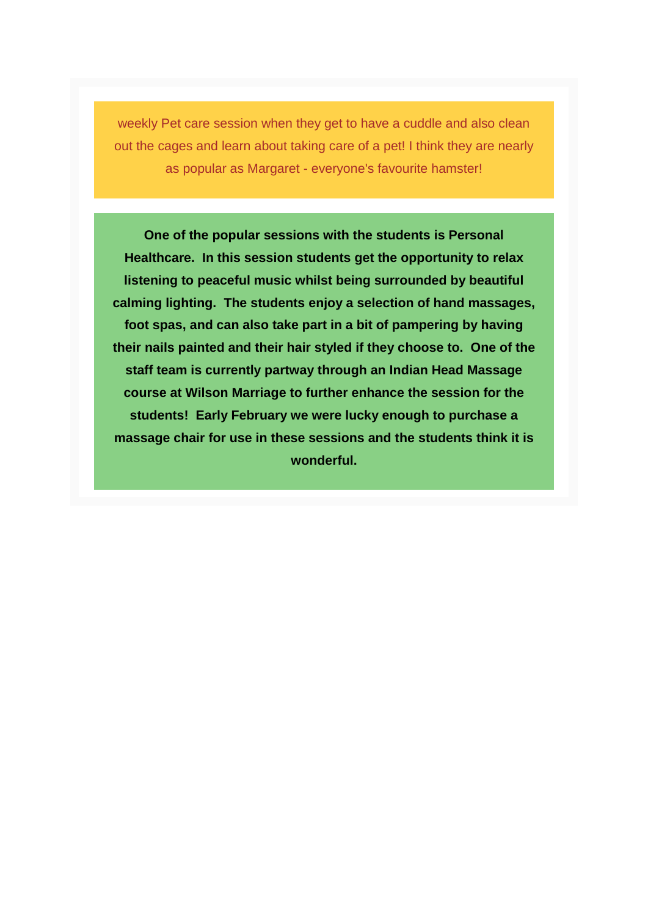weekly Pet care session when they get to have a cuddle and also clean out the cages and learn about taking care of a pet! I think they are nearly as popular as Margaret - everyone's favourite hamster!

**One of the popular sessions with the students is Personal Healthcare. In this session students get the opportunity to relax listening to peaceful music whilst being surrounded by beautiful calming lighting. The students enjoy a selection of hand massages, foot spas, and can also take part in a bit of pampering by having their nails painted and their hair styled if they choose to. One of the staff team is currently partway through an Indian Head Massage course at Wilson Marriage to further enhance the session for the students! Early February we were lucky enough to purchase a massage chair for use in these sessions and the students think it is wonderful.**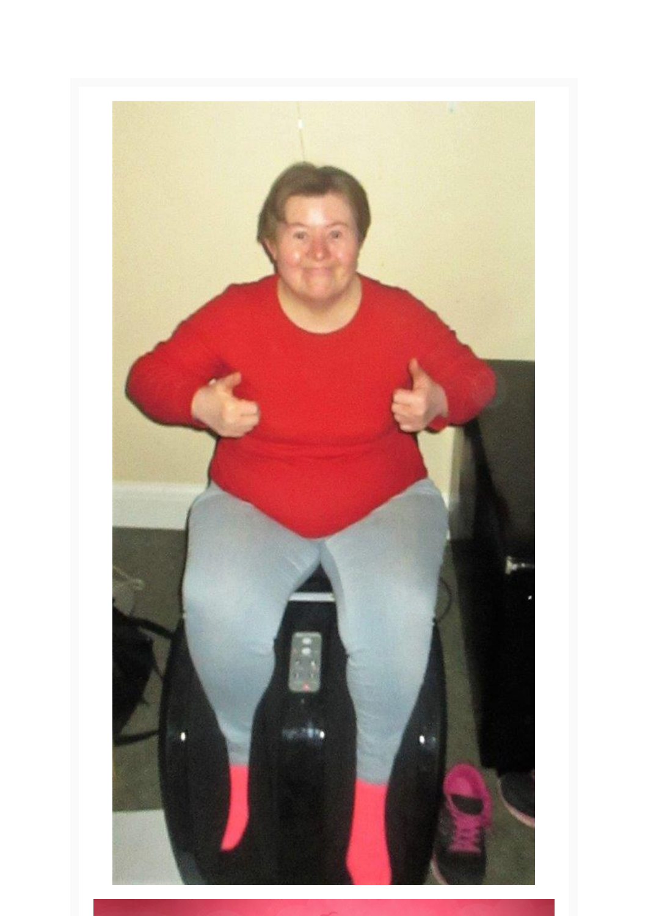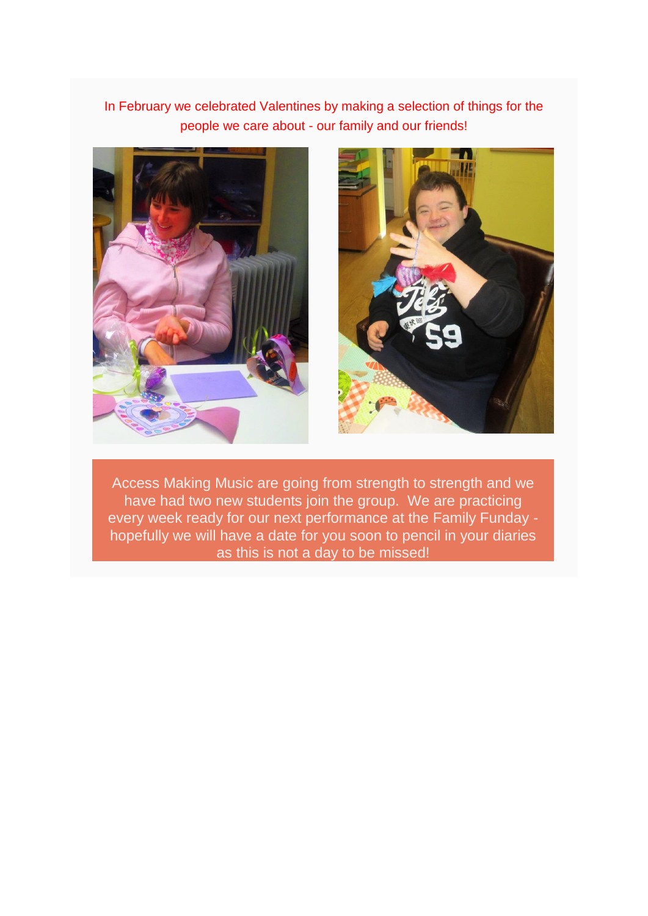In February we celebrated Valentines by making a selection of things for the people we care about - our family and our friends!





Access Making Music are going from strength to strength and we have had two new students join the group. We are practicing every week ready for our next performance at the Family Funday hopefully we will have a date for you soon to pencil in your diaries as this is not a day to be missed!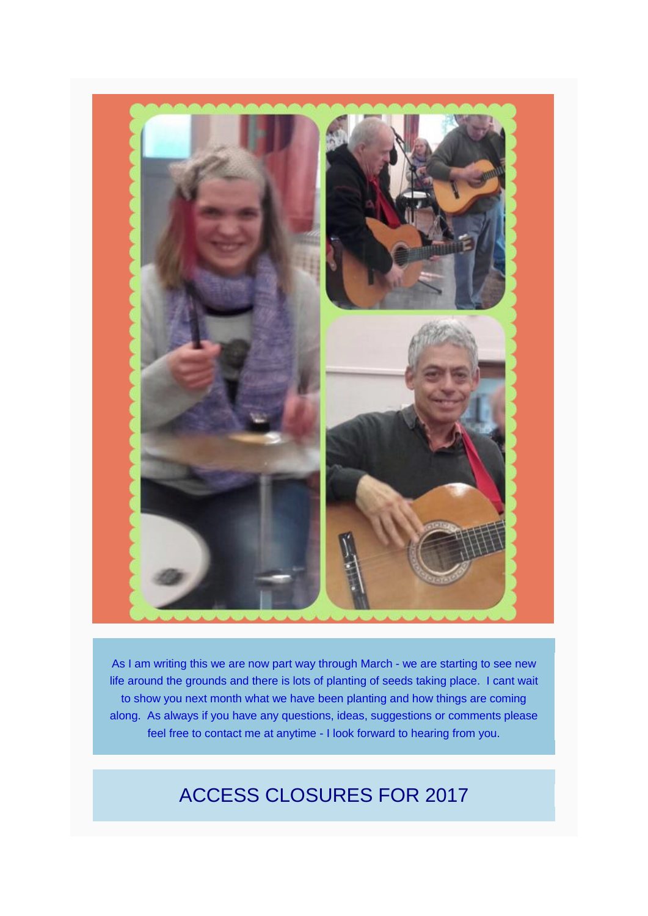

As I am writing this we are now part way through March - we are starting to see new life around the grounds and there is lots of planting of seeds taking place. I cant wait to show you next month what we have been planting and how things are coming along. As always if you have any questions, ideas, suggestions or comments please feel free to contact me at anytime - I look forward to hearing from you.

## ACCESS CLOSURES FOR 2017